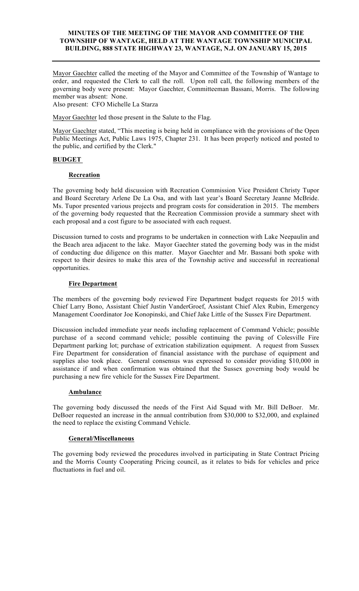## **MINUTES OF THE MEETING OF THE MAYOR AND COMMITTEE OF THE TOWNSHIP OF WANTAGE, HELD AT THE WANTAGE TOWNSHIP MUNICIPAL BUILDING, 888 STATE HIGHWAY 23, WANTAGE, N.J. ON JANUARY 15, 2015**

Mayor Gaechter called the meeting of the Mayor and Committee of the Township of Wantage to order, and requested the Clerk to call the roll. Upon roll call, the following members of the governing body were present: Mayor Gaechter, Committeeman Bassani, Morris. The following member was absent: None.

Also present: CFO Michelle La Starza

Mayor Gaechter led those present in the Salute to the Flag.

Mayor Gaechter stated, "This meeting is being held in compliance with the provisions of the Open Public Meetings Act, Public Laws 1975, Chapter 231. It has been properly noticed and posted to the public, and certified by the Clerk."

## **BUDGET**

### **Recreation**

The governing body held discussion with Recreation Commission Vice President Christy Tupor and Board Secretary Arlene De La Osa, and with last year's Board Secretary Jeanne McBride. Ms. Tupor presented various projects and program costs for consideration in 2015. The members of the governing body requested that the Recreation Commission provide a summary sheet with each proposal and a cost figure to be associated with each request.

Discussion turned to costs and programs to be undertaken in connection with Lake Neepaulin and the Beach area adjacent to the lake. Mayor Gaechter stated the governing body was in the midst of conducting due diligence on this matter. Mayor Gaechter and Mr. Bassani both spoke with respect to their desires to make this area of the Township active and successful in recreational opportunities.

### **Fire Department**

The members of the governing body reviewed Fire Department budget requests for 2015 with Chief Larry Bono, Assistant Chief Justin VanderGroef, Assistant Chief Alex Rubin, Emergency Management Coordinator Joe Konopinski, and Chief Jake Little of the Sussex Fire Department.

Discussion included immediate year needs including replacement of Command Vehicle; possible purchase of a second command vehicle; possible continuing the paving of Colesville Fire Department parking lot; purchase of extrication stabilization equipment. A request from Sussex Fire Department for consideration of financial assistance with the purchase of equipment and supplies also took place. General consensus was expressed to consider providing \$10,000 in assistance if and when confirmation was obtained that the Sussex governing body would be purchasing a new fire vehicle for the Sussex Fire Department.

#### **Ambulance**

The governing body discussed the needs of the First Aid Squad with Mr. Bill DeBoer. Mr. DeBoer requested an increase in the annual contribution from \$30,000 to \$32,000, and explained the need to replace the existing Command Vehicle.

#### **General/Miscellaneous**

The governing body reviewed the procedures involved in participating in State Contract Pricing and the Morris County Cooperating Pricing council, as it relates to bids for vehicles and price fluctuations in fuel and oil.